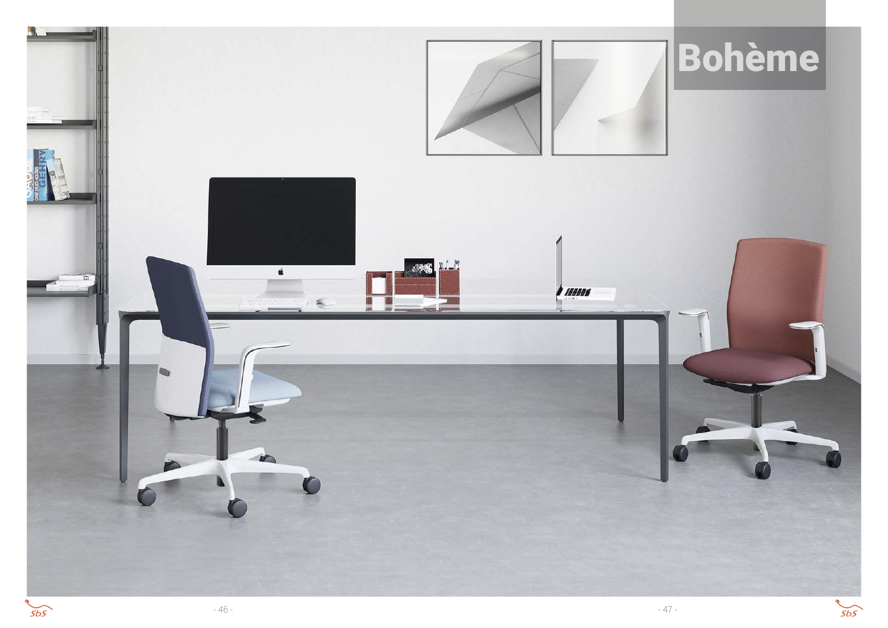

 $5b5$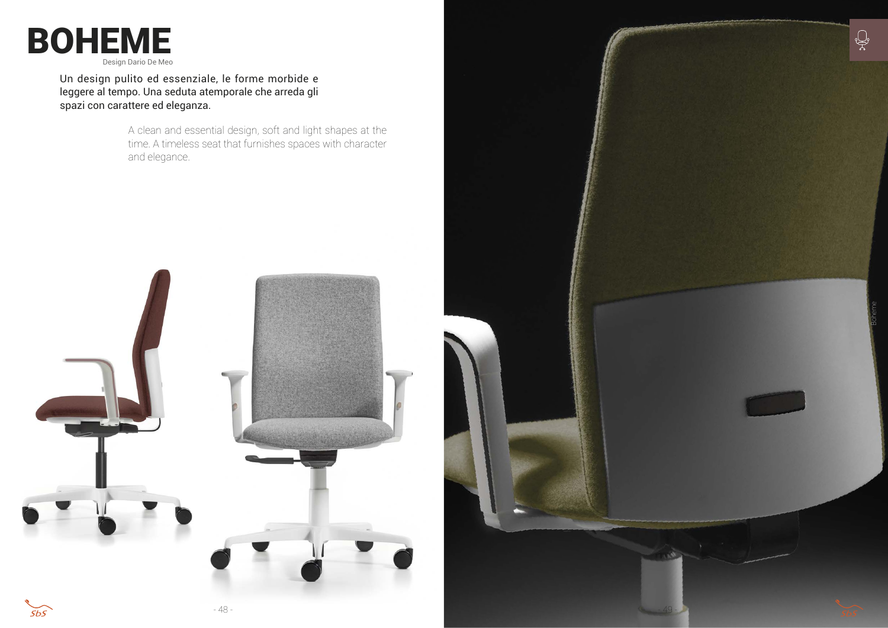Un design pulito ed essenziale, le forme morbide e leggere al tempo. Una seduta atemporale che arreda gli spazi con carattere ed eleganza.



A clean and essential design, soft and light shapes at the time. A timeless seat that furnishes spaces with character and elegance.



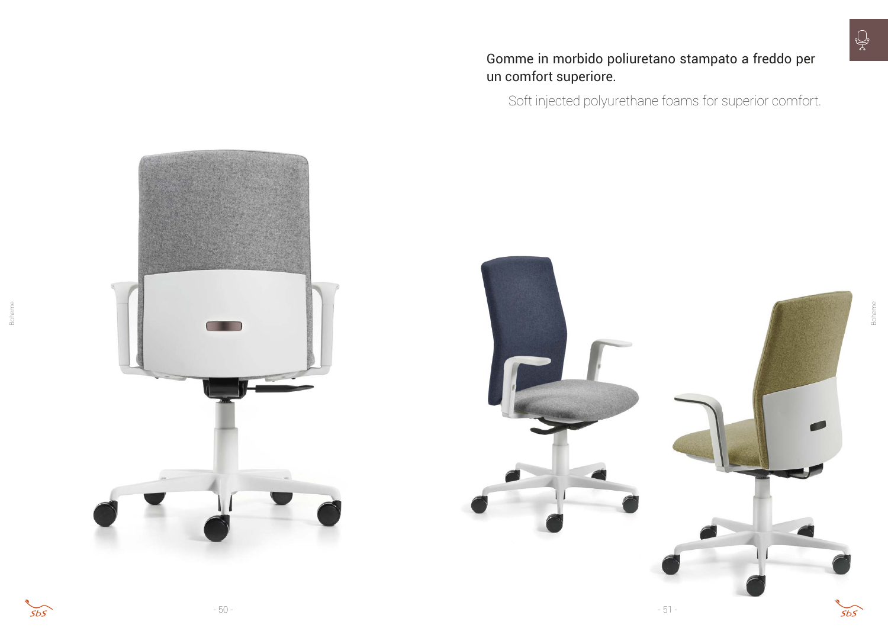



Boheme

Gomme in morbido poliuretano stampato a freddo per un comfort superiore.

Soft injected polyurethane foams for superior comfort.